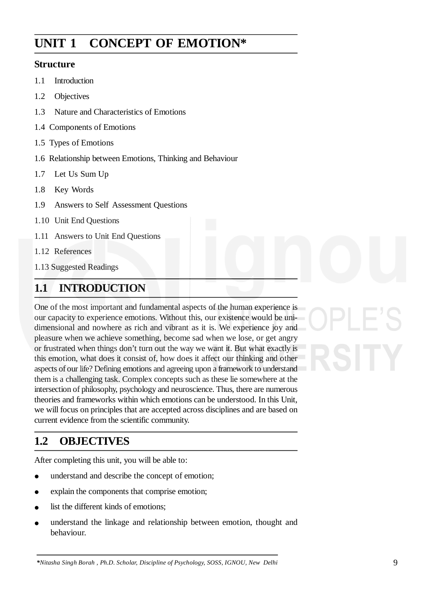# **UNIT 1 CONCEPT OF EMOTION\***

### **Structure**

- 1.1 Introduction
- 1.2 Objectives
- 1.3 Nature and Characteristics of Emotions
- 1.4 Components of Emotions
- 1.5 Types of Emotions
- 1.6 Relationship between Emotions, Thinking and Behaviour
- 1.7 Let Us Sum Up
- 1.8 Key Words
- 1.9 Answers to Self Assessment Questions
- 1.10 Unit End Questions
- 1.11 Answers to Unit End Questions
- 1.12 References
- 1.13 Suggested Readings

## **1.1 INTRODUCTION**

One of the most important and fundamental aspects of the human experience is our capacity to experience emotions. Without this, our existence would be unidimensional and nowhere as rich and vibrant as it is. We experience joy and pleasure when we achieve something, become sad when we lose, or get angry or frustrated when things don't turn out the way we want it. But what exactly is this emotion, what does it consist of, how does it affect our thinking and other aspects of our life? Defining emotions and agreeing upon a framework to understand them is a challenging task. Complex concepts such as these lie somewhere at the intersection of philosophy, psychology and neuroscience. Thus, there are numerous theories and frameworks within which emotions can be understood. In this Unit, we will focus on principles that are accepted across disciplines and are based on current evidence from the scientific community.

## **1.2 OBJECTIVES**

After completing this unit, you will be able to:

- understand and describe the concept of emotion;
- explain the components that comprise emotion;
- list the different kinds of emotions;
- understand the linkage and relationship between emotion, thought and behaviour.

#### *\*Nitasha Singh Borah , Ph.D. Scholar, Discipline of Psychology, SOSS, IGNOU, New Delhi*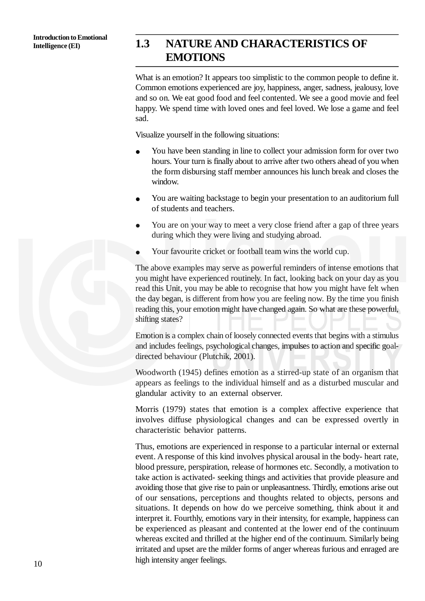### **Intelligence (EI) 1.3 NATURE AND CHARACTERISTICS OF EMOTIONS**

What is an emotion? It appears too simplistic to the common people to define it. Common emotions experienced are joy, happiness, anger, sadness, jealousy, love and so on. We eat good food and feel contented. We see a good movie and feel happy. We spend time with loved ones and feel loved. We lose a game and feel sad.

Visualize yourself in the following situations:

- You have been standing in line to collect your admission form for over two hours. Your turn is finally about to arrive after two others ahead of you when the form disbursing staff member announces his lunch break and closes the window.
- You are waiting backstage to begin your presentation to an auditorium full of students and teachers.
- You are on your way to meet a very close friend after a gap of three years during which they were living and studying abroad.
- Your favourite cricket or football team wins the world cup.

The above examples may serve as powerful reminders of intense emotions that you might have experienced routinely. In fact, looking back on your day as you read this Unit, you may be able to recognise that how you might have felt when the day began, is different from how you are feeling now. By the time you finish reading this, your emotion might have changed again. So what are these powerful, shifting states?

Emotion is a complex chain of loosely connected events that begins with a stimulus and includes feelings, psychological changes, impulses to action and specific goaldirected behaviour (Plutchik, 2001).

Woodworth (1945) defines emotion as a stirred-up state of an organism that appears as feelings to the individual himself and as a disturbed muscular and glandular activity to an external observer.

Morris (1979) states that emotion is a complex affective experience that involves diffuse physiological changes and can be expressed overtly in characteristic behavior patterns.

Thus, emotions are experienced in response to a particular internal or external event. A response of this kind involves physical arousal in the body- heart rate, blood pressure, perspiration, release of hormones etc. Secondly, a motivation to take action is activated- seeking things and activities that provide pleasure and avoiding those that give rise to pain or unpleasantness. Thirdly, emotions arise out of our sensations, perceptions and thoughts related to objects, persons and situations. It depends on how do we perceive something, think about it and interpret it. Fourthly, emotions vary in their intensity, for example, happiness can be experienced as pleasant and contented at the lower end of the continuum whereas excited and thrilled at the higher end of the continuum. Similarly being irritated and upset are the milder forms of anger whereas furious and enraged are high intensity anger feelings.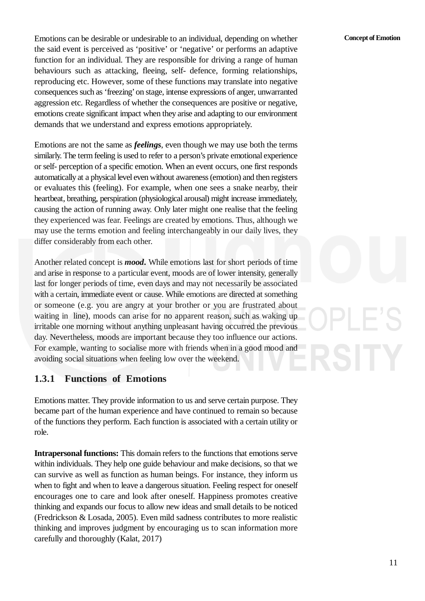Emotions can be desirable or undesirable to an individual, depending on whether the said event is perceived as 'positive' or 'negative' or performs an adaptive function for an individual. They are responsible for driving a range of human behaviours such as attacking, fleeing, self- defence, forming relationships, reproducing etc. However, some of these functions may translate into negative consequences such as 'freezing'on stage, intense expressions of anger, unwarranted aggression etc. Regardless of whether the consequences are positive or negative, emotions create significant impact when they arise and adapting to our environment demands that we understand and express emotions appropriately.

Emotions are not the same as *feelings*, even though we may use both the terms similarly. The term feeling is used to refer to a person's private emotional experience or self- perception of a specific emotion. When an event occurs, one first responds automatically at a physical level even without awareness (emotion) and then registers or evaluates this (feeling). For example, when one sees a snake nearby, their heartbeat, breathing, perspiration (physiological arousal) might increase immediately, causing the action of running away. Only later might one realise that the feeling they experienced was fear. Feelings are created by emotions. Thus, although we may use the terms emotion and feeling interchangeably in our daily lives, they differ considerably from each other.

Another related concept is *mood***.** While emotions last for short periods of time and arise in response to a particular event, moods are of lower intensity, generally last for longer periods of time, even days and may not necessarily be associated with a certain, immediate event or cause. While emotions are directed at something or someone (e.g. you are angry at your brother or you are frustrated about waiting in line), moods can arise for no apparent reason, such as waking up irritable one morning without anything unpleasant having occurred the previous day. Nevertheless, moods are important because they too influence our actions. For example, wanting to socialise more with friends when in a good mood and avoiding social situations when feeling low over the weekend.

### **1.3.1 Functions of Emotions**

Emotions matter. They provide information to us and serve certain purpose. They became part of the human experience and have continued to remain so because of the functions they perform. Each function is associated with a certain utility or role.

**Intrapersonal functions:** This domain refers to the functions that emotions serve within individuals. They help one guide behaviour and make decisions, so that we can survive as well as function as human beings. For instance, they inform us when to fight and when to leave a dangerous situation. Feeling respect for oneself encourages one to care and look after oneself. Happiness promotes creative thinking and expands our focus to allow new ideas and small details to be noticed (Fredrickson & Losada, 2005). Even mild sadness contributes to more realistic thinking and improves judgment by encouraging us to scan information more carefully and thoroughly (Kalat, 2017)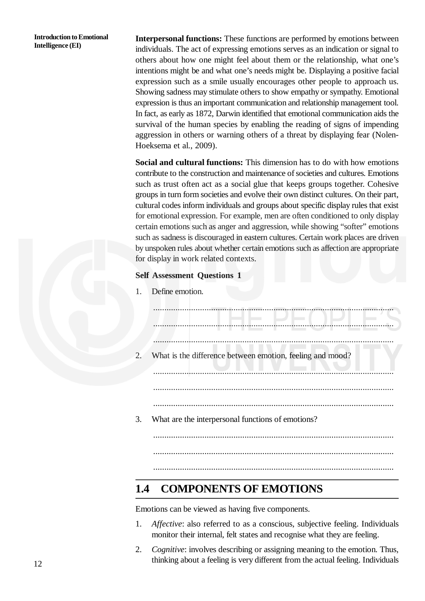**Introduction to Emotional Intelligence (EI)**

**Interpersonal functions:** These functions are performed by emotions between individuals. The act of expressing emotions serves as an indication or signal to others about how one might feel about them or the relationship, what one's intentions might be and what one's needs might be. Displaying a positive facial expression such as a smile usually encourages other people to approach us. Showing sadness may stimulate others to show empathy or sympathy. Emotional expression is thus an important communication and relationship management tool. In fact, as early as 1872, Darwin identified that emotional communication aids the survival of the human species by enabling the reading of signs of impending aggression in others or warning others of a threat by displaying fear (Nolen-Hoeksema et al., 2009).

**Social and cultural functions:** This dimension has to do with how emotions contribute to the construction and maintenance of societies and cultures. Emotions such as trust often act as a social glue that keeps groups together. Cohesive groups in turn form societies and evolve their own distinct cultures. On their part, cultural codes inform individuals and groups about specific display rules that exist for emotional expression. For example, men are often conditioned to only display certain emotions such as anger and aggression, while showing "softer" emotions such as sadness is discouraged in eastern cultures. Certain work places are driven by unspoken rules about whether certain emotions such as affection are appropriate for display in work related contexts.

#### **Self Assessment Questions 1**

1. Define emotion.

| 2. | What is the difference between emotion, feeling and mood? |  |
|----|-----------------------------------------------------------|--|
|    |                                                           |  |
| 3. | What are the interpersonal functions of emotions?         |  |
|    |                                                           |  |
|    |                                                           |  |

## **1.4 COMPONENTS OF EMOTIONS**

Emotions can be viewed as having five components.

1. *Affective*: also referred to as a conscious, subjective feeling. Individuals monitor their internal, felt states and recognise what they are feeling.

............................................................................................................

2. *Cognitive*: involves describing or assigning meaning to the emotion. Thus, thinking about a feeling is very different from the actual feeling. Individuals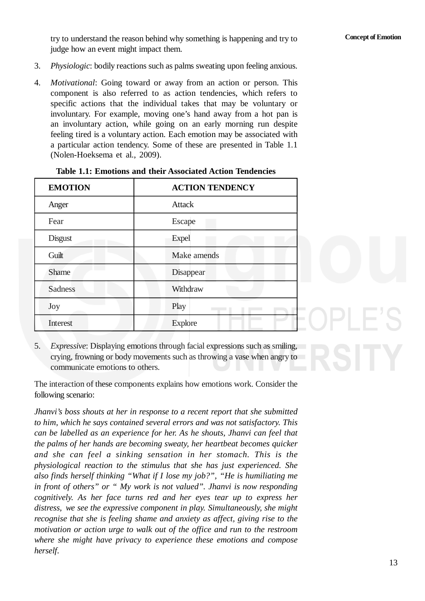try to understand the reason behind why something is happening and try to judge how an event might impact them.

- 3. *Physiologic*: bodily reactions such as palms sweating upon feeling anxious.
- 4. *Motivational*: Going toward or away from an action or person. This component is also referred to as action tendencies, which refers to specific actions that the individual takes that may be voluntary or involuntary. For example, moving one's hand away from a hot pan is an involuntary action, while going on an early morning run despite feeling tired is a voluntary action. Each emotion may be associated with a particular action tendency. Some of these are presented in Table 1.1 (Nolen-Hoeksema et al., 2009).

| <b>EMOTION</b> | <b>ACTION TENDENCY</b> |
|----------------|------------------------|
| Anger          | <b>Attack</b>          |
| Fear           | Escape                 |
| <b>Disgust</b> | <b>Expel</b>           |
| Guilt          | Make amends            |
| <b>Shame</b>   | Disappear              |
| <b>Sadness</b> | Withdraw               |
| Joy            | Play                   |
| Interest       | <b>Explore</b>         |

|  |  |  |  |  |  |  | <b>Table 1.1: Emotions and their Associated Action Tendencies</b> |
|--|--|--|--|--|--|--|-------------------------------------------------------------------|
|--|--|--|--|--|--|--|-------------------------------------------------------------------|

5. *Expressive*: Displaying emotions through facial expressions such as smiling, crying, frowning or body movements such as throwing a vase when angry to communicate emotions to others.

The interaction of these components explains how emotions work. Consider the following scenario:

*Jhanvi's boss shouts at her in response to a recent report that she submitted to him, which he says contained several errors and was not satisfactory. This can be labelled as an experience for her. As he shouts, Jhanvi can feel that the palms of her hands are becoming sweaty, her heartbeat becomes quicker and she can feel a sinking sensation in her stomach. This is the physiological reaction to the stimulus that she has just experienced. She also finds herself thinking "What if I lose my job?", "He is humiliating me in front of others" or " My work is not valued". Jhanvi is now responding cognitively. As her face turns red and her eyes tear up to express her distress, we see the expressive component in play. Simultaneously, she might recognise that she is feeling shame and anxiety as affect, giving rise to the motivation or action urge to walk out of the office and run to the restroom where she might have privacy to experience these emotions and compose herself.*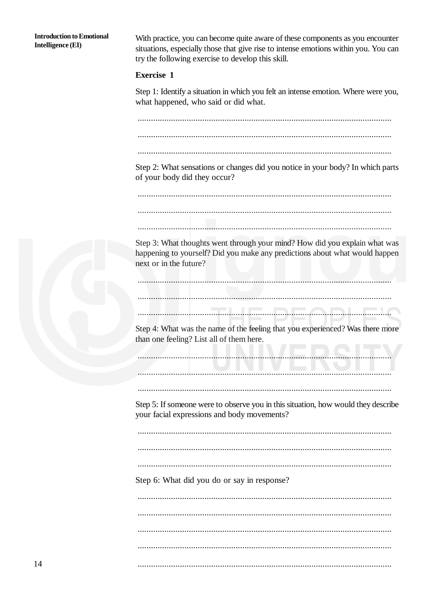**Introduction to Emotional Intelligence (EI)** 

With practice, you can become quite aware of these components as you encounter situations, especially those that give rise to intense emotions within you. You can try the following exercise to develop this skill.

#### **Exercise 1**

Step 1: Identify a situation in which you felt an intense emotion. Where were you, what happened, who said or did what.

Step 2: What sensations or changes did you notice in your body? In which parts of your body did they occur?

Step 3: What thoughts went through your mind? How did you explain what was happening to yourself? Did you make any predictions about what would happen next or in the future?

<u> El de la componentat de la componentat de la componentat de la componentat de la componentat de la componenta</u>

Step 4: What was the name of the feeling that you experienced? Was there more than one feeling? List all of them here.

Step 5: If someone were to observe you in this situation, how would they describe your facial expressions and body movements?

Step 6: What did you do or say in response?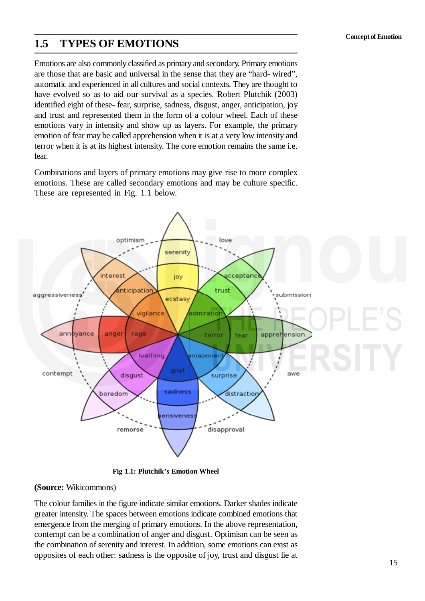### **1.5 TYPES OF EMOTIONS**

Emotions are also commonly classified as primary and secondary. Primary emotions are those that are basic and universal in the sense that they are "hard- wired", automatic and experienced in all cultures and social contexts. They are thought to have evolved so as to aid our survival as a species. Robert Plutchik (2003) identified eight of these- fear, surprise, sadness, disgust, anger, anticipation, joy and trust and represented them in the form of a colour wheel. Each of these emotions vary in intensity and show up as layers. For example, the primary emotion of fear may be called apprehension when it is at a very low intensity and terror when it is at its highest intensity. The core emotion remains the same i.e. fear.

Combinations and layers of primary emotions may give rise to more complex emotions. These are called secondary emotions and may be culture specific. These are represented in Fig. 1.1 below.



**Fig 1.1: Plutchik's Emotion Wheel**

#### **(Source:** Wikicommons)

The colour families in the figure indicate similar emotions. Darker shades indicate greater intensity. The spaces between emotions indicate combined emotions that emergence from the merging of primary emotions. In the above representation, contempt can be a combination of anger and disgust. Optimism can be seen as the combination of serenity and interest. In addition, some emotions can exist as opposites of each other: sadness is the opposite of joy, trust and disgust lie at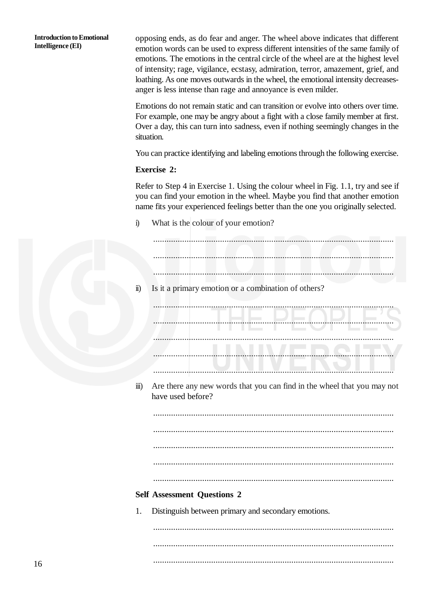**Introduction to Emotional Intelligence (EI)**

opposing ends, as do fear and anger. The wheel above indicates that different emotion words can be used to express different intensities of the same family of emotions. The emotions in the central circle of the wheel are at the highest level of intensity; rage, vigilance, ecstasy, admiration, terror, amazement, grief, and loathing. As one moves outwards in the wheel, the emotional intensity decreasesanger is less intense than rage and annoyance is even milder.

Emotions do not remain static and can transition or evolve into others over time. For example, one may be angry about a fight with a close family member at first. Over a day, this can turn into sadness, even if nothing seemingly changes in the situation.

You can practice identifying and labeling emotions through the following exercise.

#### **Exercise 2:**

Refer to Step 4 in Exercise 1. Using the colour wheel in Fig. 1.1, try and see if you can find your emotion in the wheel. Maybe you find that another emotion name fits your experienced feelings better than the one you originally selected.

i) What is the colour of your emotion?

| $\ddot{\mathbf{n}})$   | Is it a primary emotion or a combination of others?                     |
|------------------------|-------------------------------------------------------------------------|
|                        |                                                                         |
|                        |                                                                         |
|                        |                                                                         |
|                        |                                                                         |
|                        |                                                                         |
|                        |                                                                         |
| $\dddot{\mathbf{m}}$ ) | Are there any new words that you can find in the wheel that you may not |
|                        | have used before?                                                       |
|                        |                                                                         |
|                        |                                                                         |
|                        |                                                                         |
|                        |                                                                         |
|                        |                                                                         |
|                        |                                                                         |
|                        |                                                                         |
|                        | <b>Self Assessment Questions 2</b>                                      |
| 1.                     | Distinguish between primary and secondary emotions.                     |
|                        |                                                                         |
|                        |                                                                         |
|                        |                                                                         |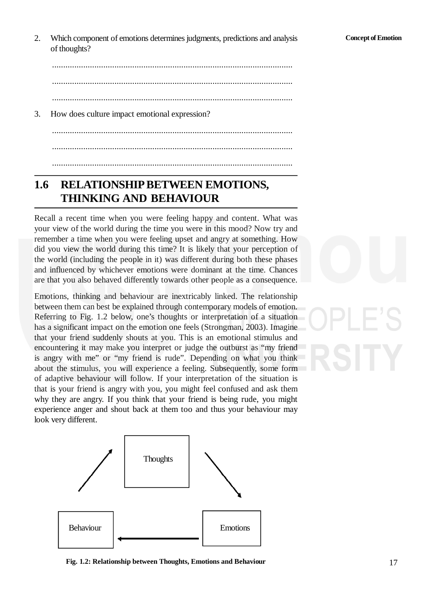2. Which component of emotions determines judgments, predictions and analysis of thoughts?

............................................................................................................ ............................................................................................................

............................................................................................................

3. How does culture impact emotional expression?

............................................................................................................ ............................................................................................................ ............................................................................................................

## 1.6 RELATIONSHIP BETWEEN EMOTIONS, **THINKING AND BEHAVIOUR**

Recall a recent time when you were feeling happy and content. What was your view of the world during the time you were in this mood? Now try and remember a time when you were feeling upset and angry at something. How did you view the world during this time? It is likely that your perception of the world (including the people in it) was different during both these phases and influenced by whichever emotions were dominant at the time. Chances are that you also behaved differently towards other people as a consequence.

Emotions, thinking and behaviour are inextricably linked. The relationship between them can best be explained through contemporary models of emotion. Referring to Fig. 1.2 below, one's thoughts or interpretation of a situation has a significant impact on the emotion one feels (Strongman, 2003). Imagine that your friend suddenly shouts at you. This is an emotional stimulus and encountering it may make you interpret or judge the outburst as "my friend is angry with me" or "my friend is rude". Depending on what you think about the stimulus, you will experience a feeling. Subsequently, some form of adaptive behaviour will follow. If your interpretation of the situation is that is your friend is angry with you, you might feel confused and ask them why they are angry. If you think that your friend is being rude, you might experience anger and shout back at them too and thus your behaviour may look very different.





**Fig. 1.2: Relationship between Thoughts, Emotions and Behaviour**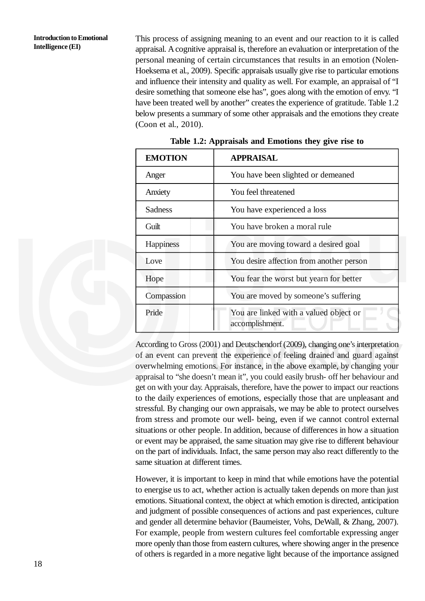This process of assigning meaning to an event and our reaction to it is called appraisal. A cognitive appraisal is, therefore an evaluation or interpretation of the personal meaning of certain circumstances that results in an emotion (Nolen-Hoeksema et al., 2009). Specific appraisals usually give rise to particular emotions and influence their intensity and quality as well. For example, an appraisal of "I desire something that someone else has", goes along with the emotion of envy. "I have been treated well by another" creates the experience of gratitude. Table 1.2 below presents a summary of some other appraisals and the emotions they create (Coon et al., 2010).

| <b>EMOTION</b>                                    | <b>APPRAISAL</b>                                          |  |  |  |
|---------------------------------------------------|-----------------------------------------------------------|--|--|--|
| Anger                                             | You have been slighted or demeaned                        |  |  |  |
| Anxiety                                           | You feel threatened                                       |  |  |  |
| Sadness                                           | You have experienced a loss                               |  |  |  |
| Guilt                                             | You have broken a moral rule                              |  |  |  |
| Happiness<br>You are moving toward a desired goal |                                                           |  |  |  |
| Love                                              | You desire affection from another person                  |  |  |  |
| Hope                                              | You fear the worst but yearn for better                   |  |  |  |
| Compassion                                        | You are moved by someone's suffering                      |  |  |  |
| Pride                                             | You are linked with a valued object or<br>accomplishment. |  |  |  |

**Table 1.2: Appraisals and Emotions they give rise to**

According to Gross (2001) and Deutschendorf (2009), changing one's interpretation of an event can prevent the experience of feeling drained and guard against overwhelming emotions. For instance, in the above example, by changing your appraisal to "she doesn't mean it", you could easily brush- off her behaviour and get on with your day. Appraisals, therefore, have the power to impact our reactions to the daily experiences of emotions, especially those that are unpleasant and stressful. By changing our own appraisals, we may be able to protect ourselves from stress and promote our well- being, even if we cannot control external situations or other people. In addition, because of differences in how a situation or event may be appraised, the same situation may give rise to different behaviour on the part of individuals. Infact, the same person may also react differently to the same situation at different times.

However, it is important to keep in mind that while emotions have the potential to energise us to act, whether action is actually taken depends on more than just emotions. Situational context, the object at which emotion is directed, anticipation and judgment of possible consequences of actions and past experiences, culture and gender all determine behavior (Baumeister, Vohs, DeWall, & Zhang, 2007). For example, people from western cultures feel comfortable expressing anger more openly than those from eastern cultures, where showing anger in the presence of others is regarded in a more negative light because of the importance assigned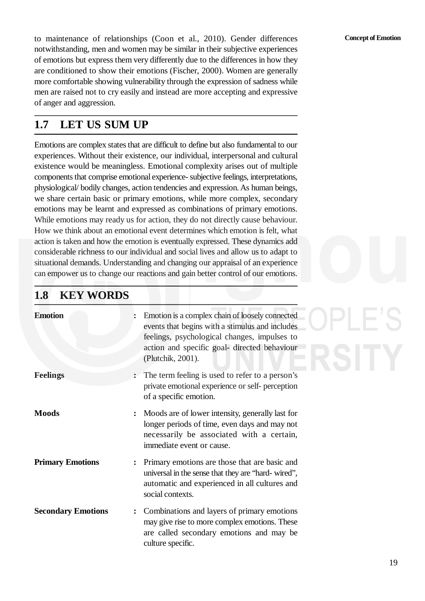**Concept of Emotion**

**PLE'S** 

to maintenance of relationships (Coon et al., 2010). Gender differences notwithstanding, men and women may be similar in their subjective experiences of emotions but express them very differently due to the differences in how they are conditioned to show their emotions (Fischer, 2000). Women are generally more comfortable showing vulnerability through the expression of sadness while men are raised not to cry easily and instead are more accepting and expressive of anger and aggression.

### **1.7 LET US SUM UP**

Emotions are complex states that are difficult to define but also fundamental to our experiences. Without their existence, our individual, interpersonal and cultural existence would be meaningless. Emotional complexity arises out of multiple components that comprise emotional experience- subjective feelings, interpretations, physiological/ bodily changes, action tendencies and expression. As human beings, we share certain basic or primary emotions, while more complex, secondary emotions may be learnt and expressed as combinations of primary emotions. While emotions may ready us for action, they do not directly cause behaviour. How we think about an emotional event determines which emotion is felt, what action is taken and how the emotion is eventually expressed. These dynamics add considerable richness to our individual and social lives and allow us to adapt to situational demands. Understanding and changing our appraisal of an experience can empower us to change our reactions and gain better control of our emotions.

### **1.8 KEY WORDS**

| <b>Emotion</b>            | Emotion is a complex chain of loosely connected<br>events that begins with a stimulus and includes<br>feelings, psychological changes, impulses to<br>action and specific goal-directed behaviour<br>(Plutchik, 2001). |
|---------------------------|------------------------------------------------------------------------------------------------------------------------------------------------------------------------------------------------------------------------|
| <b>Feelings</b>           | The term feeling is used to refer to a person's<br>private emotional experience or self- perception<br>of a specific emotion.                                                                                          |
| <b>Moods</b>              | Moods are of lower intensity, generally last for<br>$\ddot{\cdot}$<br>longer periods of time, even days and may not<br>necessarily be associated with a certain,<br>immediate event or cause.                          |
| <b>Primary Emotions</b>   | : Primary emotions are those that are basic and<br>universal in the sense that they are "hard-wired",<br>automatic and experienced in all cultures and<br>social contexts.                                             |
| <b>Secondary Emotions</b> | Combinations and layers of primary emotions<br>may give rise to more complex emotions. These<br>are called secondary emotions and may be<br>culture specific.                                                          |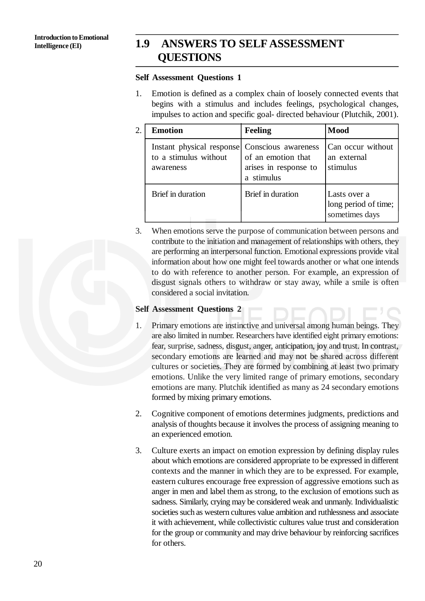### **1.9 ANSWERS TO SELF ASSESSMENT QUESTIONS**

#### **Self Assessment Questions 1**

1. Emotion is defined as a complex chain of loosely connected events that begins with a stimulus and includes feelings, psychological changes, impulses to action and specific goal- directed behaviour (Plutchik, 2001).

| $\overline{2}$ . | <b>Emotion</b>                                                  | <b>Feeling</b>                                                                   | <b>Mood</b>                                            |
|------------------|-----------------------------------------------------------------|----------------------------------------------------------------------------------|--------------------------------------------------------|
|                  | Instant physical response<br>to a stimulus without<br>awareness | Conscious awareness<br>of an emotion that<br>arises in response to<br>a stimulus | Can occur without<br>an external<br>stimulus           |
|                  | Brief in duration                                               | Brief in duration                                                                | Lasts over a<br>long period of time;<br>sometimes days |

3. When emotions serve the purpose of communication between persons and contribute to the initiation and management of relationships with others, they are performing an interpersonal function. Emotional expressions provide vital information about how one might feel towards another or what one intends to do with reference to another person. For example, an expression of disgust signals others to withdraw or stay away, while a smile is often considered a social invitation.

#### **Self Assessment Questions 2**

- 1. Primary emotions are instinctive and universal among human beings. They are also limited in number. Researchers have identified eight primary emotions: fear, surprise, sadness, disgust, anger, anticipation, joy and trust. In contrast, secondary emotions are learned and may not be shared across different cultures or societies. They are formed by combining at least two primary emotions. Unlike the very limited range of primary emotions, secondary emotions are many. Plutchik identified as many as 24 secondary emotions formed by mixing primary emotions.
- 2. Cognitive component of emotions determines judgments, predictions and analysis of thoughts because it involves the process of assigning meaning to an experienced emotion.
- 3. Culture exerts an impact on emotion expression by defining display rules about which emotions are considered appropriate to be expressed in different contexts and the manner in which they are to be expressed. For example, eastern cultures encourage free expression of aggressive emotions such as anger in men and label them as strong, to the exclusion of emotions such as sadness. Similarly, crying may be considered weak and unmanly. Individualistic societies such as western cultures value ambition and ruthlessness and associate it with achievement, while collectivistic cultures value trust and consideration for the group or community and may drive behaviour by reinforcing sacrifices for others.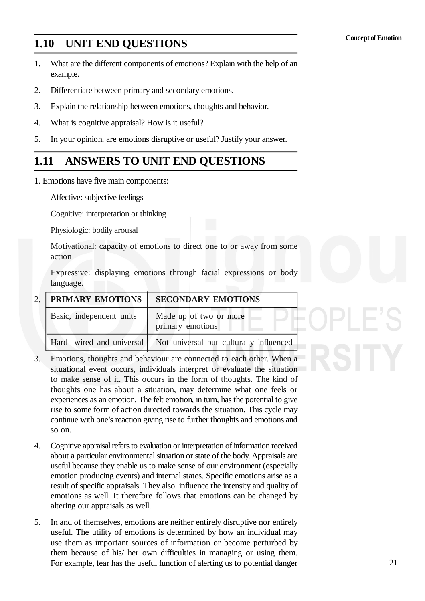### **1.10 UNIT END QUESTIONS**

- 1. What are the different components of emotions? Explain with the help of an example.
- 2. Differentiate between primary and secondary emotions.
- 3. Explain the relationship between emotions, thoughts and behavior.
- 4. What is cognitive appraisal? How is it useful?
- 5. In your opinion, are emotions disruptive or useful? Justify your answer.

## **1.11 ANSWERS TO UNIT END QUESTIONS**

1. Emotions have five main components:

Affective: subjective feelings

Cognitive: interpretation or thinking

Physiologic: bodily arousal

Motivational: capacity of emotions to direct one to or away from some action

Expressive: displaying emotions through facial expressions or body language.

| 2.   PRIMARY EMOTIONS    | <b>SECONDARY EMOTIONS</b>                                         |  |
|--------------------------|-------------------------------------------------------------------|--|
| Basic, independent units | Made up of two or more<br>primary emotions                        |  |
|                          | Hard- wired and universal Not universal but culturally influenced |  |

- 3. Emotions, thoughts and behaviour are connected to each other. When a situational event occurs, individuals interpret or evaluate the situation to make sense of it. This occurs in the form of thoughts. The kind of thoughts one has about a situation, may determine what one feels or experiences as an emotion. The felt emotion, in turn, has the potential to give rise to some form of action directed towards the situation. This cycle may continue with one's reaction giving rise to further thoughts and emotions and so on.
- 4. Cognitive appraisal refers to evaluation or interpretation of information received about a particular environmental situation or state of the body. Appraisals are useful because they enable us to make sense of our environment (especially emotion producing events) and internal states. Specific emotions arise as a result of specific appraisals. They also influence the intensity and quality of emotions as well. It therefore follows that emotions can be changed by altering our appraisals as well.
- 5. In and of themselves, emotions are neither entirely disruptive nor entirely useful. The utility of emotions is determined by how an individual may use them as important sources of information or become perturbed by them because of his/ her own difficulties in managing or using them. For example, fear has the useful function of alerting us to potential danger